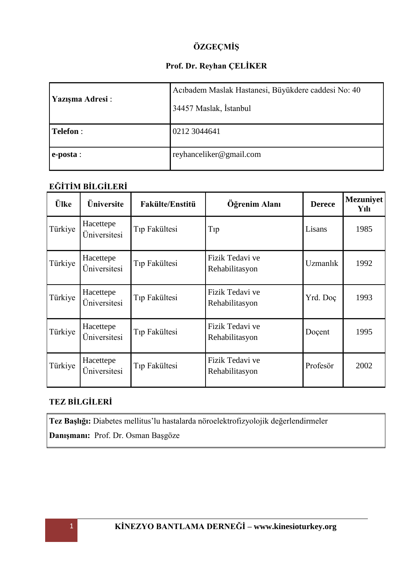# **ÖZGEÇMİŞ**

## **Prof. Dr. Reyhan ÇELİKER**

| Yazışma Adresi:    | Acıbadem Maslak Hastanesi, Büyükdere caddesi No: 40<br>34457 Maslak, İstanbul |  |
|--------------------|-------------------------------------------------------------------------------|--|
| Telefon :          | 0212 3044641                                                                  |  |
| $\epsilon$ -posta: | reyhanceliker@gmail.com                                                       |  |

# **EĞİTİM BİLGİLERİ**

| <b>Ülke</b> | Üniversite                | <b>Fakülte/Enstitü</b>    | Öğrenim Alanı                     | <b>Derece</b>   | <b>Mezuniyet</b><br>Yılı |
|-------------|---------------------------|---------------------------|-----------------------------------|-----------------|--------------------------|
| Türkiye     | Hacettepe<br>Üniversitesi | Tıp Fakültesi             | Tip                               | Lisans          | 1985                     |
| Türkiye     | Hacettepe<br>Üniversitesi | Tıp Fakültesi             | Fizik Tedavi ve<br>Rehabilitasyon | <b>Uzmanlık</b> | 1992                     |
| Türkiye     | Hacettepe<br>Üniversitesi | T <sub>ip</sub> Fakültesi | Fizik Tedavi ve<br>Rehabilitasyon | Yrd. Doç        | 1993                     |
| Türkiye     | Hacettepe<br>Üniversitesi | Tip Fakültesi             | Fizik Tedavi ve<br>Rehabilitasyon | Doçent          | 1995                     |
| Türkiye     | Hacettepe<br>Üniversitesi | Tip Fakültesi             | Fizik Tedavi ve<br>Rehabilitasyon | Profesör        | 2002                     |

# **TEZ BİLGİLERİ**

**Tez Başlığı:** Diabetes mellitus'lu hastalarda nöroelektrofizyolojik değerlendirmeler

**Danışmanı:** Prof. Dr. Osman Başgöze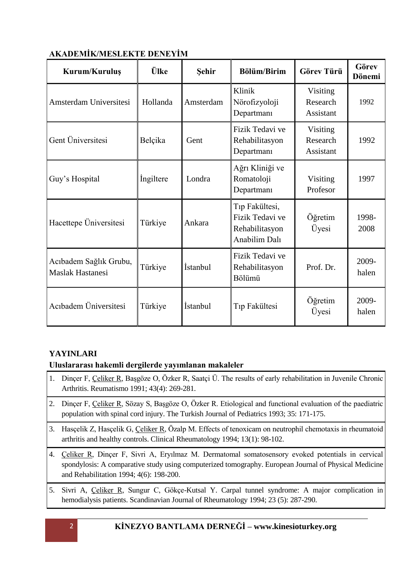| Kurum/Kuruluş                                     | <b>Ülke</b> | Sehir     | <b>Bölüm/Birim</b>                                                   | <b>Görev Türü</b>                 | Görev<br>Dönemi |
|---------------------------------------------------|-------------|-----------|----------------------------------------------------------------------|-----------------------------------|-----------------|
| Amsterdam Universitesi                            | Hollanda    | Amsterdam | Klinik<br>Nörofizyoloji<br>Departmanı                                | Visiting<br>Research<br>Assistant | 1992            |
| Gent Üniversitesi                                 | Belçika     | Gent      | Fizik Tedavi ve<br>Rehabilitasyon<br>Departmanı                      | Visiting<br>Research<br>Assistant | 1992            |
| Guy's Hospital                                    | Ingiltere   | Londra    | Ağrı Kliniği ve<br>Romatoloji<br>Departman                           | Visiting<br>Profesor              | 1997            |
| Hacettepe Üniversitesi                            | Türkiye     | Ankara    | Tip Fakültesi,<br>Fizik Tedavi ve<br>Rehabilitasyon<br>Anabilim Dalı | Öğretim<br>Üyesi                  | 1998-<br>2008   |
| Acıbadem Sağlık Grubu,<br><b>Maslak Hastanesi</b> | Türkiye     | İstanbul  | Fizik Tedavi ve<br>Rehabilitasyon<br>Bölümü                          | Prof. Dr.                         | 2009-<br>halen  |
| Acıbadem Üniversitesi                             | Türkiye     | İstanbul  | Tıp Fakültesi                                                        | Öğretim<br>Üyesi                  | 2009-<br>halen  |

# **AKADEMİK/MESLEKTE DENEYİM**

### **YAYINLARI**

## **Uluslararası hakemli dergilerde yayımlanan makaleler**

- 1. Dinçer F, Çeliker R, Başgöze O, Özker R, Saatçi Ü. The results of early rehabilitation in Juvenile Chronic Arthritis. Reumatismo 1991; 43(4): 269-281.
- 2. Dinçer F, Çeliker R, Sözay S, Başgöze O, Özker R. Etiological and functional evaluation of the paediatric population with spinal cord injury. The Turkish Journal of Pediatrics 1993; 35: 171-175.
- 3. Hasçelik Z, Hasçelik G, Çeliker R, Özalp M. Effects of tenoxicam on neutrophil chemotaxis in rheumatoid arthritis and healthy controls. Clinical Rheumatology 1994; 13(1): 98-102.
- 4. Çeliker R, Dinçer F, Sivri A, Eryılmaz M. Dermatomal somatosensory evoked potentials in cervical spondylosis: A comparative study using computerized tomography. European Journal of Physical Medicine and Rehabilitation 1994; 4(6): 198-200.
- 5. Sivri A, Çeliker R, Sungur C, Gökçe-Kutsal Y. Carpal tunnel syndrome: A major complication in hemodialysis patients. Scandinavian Journal of Rheumatology 1994; 23 (5): 287-290.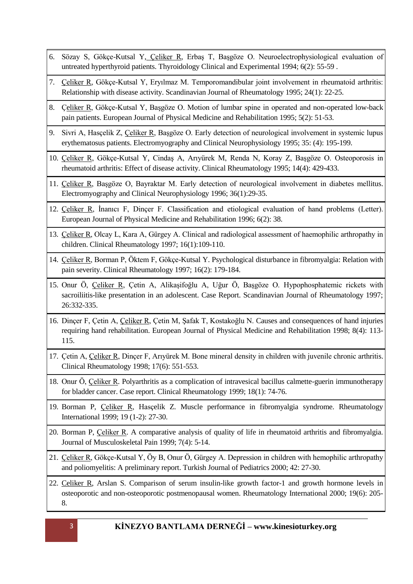- 6. Sözay S, Gökçe-Kutsal Y, Çeliker R, Erbaş T, Başgöze O. Neuroelectrophysiological evaluation of untreated hyperthyroid patients. Thyroidology Clinical and Experimental 1994; 6(2): 55-59 .
- 7. Çeliker R, Gökçe-Kutsal Y, Eryılmaz M. Temporomandibular joint involvement in rheumatoid arthritis: Relationship with disease activity. Scandinavian Journal of Rheumatology 1995; 24(1): 22-25.
- 8. Çeliker R, Gökçe-Kutsal Y, Başgöze O. Motion of lumbar spine in operated and non-operated low-back pain patients. European Journal of Physical Medicine and Rehabilitation 1995; 5(2): 51-53.
- 9. Sivri A, Hasçelik Z, Çeliker R, Başgöze O. Early detection of neurological involvement in systemic lupus erythematosus patients. Electromyography and Clinical Neurophysiology 1995; 35: (4): 195-199.
- 10. Çeliker R, Gökçe-Kutsal Y, Cindaş A, Arıyürek M, Renda N, Koray Z, Başgöze O. Osteoporosis in rheumatoid arthritis: Effect of disease activity. Clinical Rheumatology 1995; 14(4): 429-433.
- 11. Çeliker R, Başgöze O, Bayraktar M. Early detection of neurological involvement in diabetes mellitus. Electromyography and Clinical Neurophysiology 1996; 36(1):29-35.
- 12. Çeliker R, İnanıcı F, Dinçer F. Classification and etiological evaluation of hand problems (Letter). European Journal of Physical Medicine and Rehabilitation 1996; 6(2): 38.
- 13. Çeliker R, Olcay L, Kara A, Gürgey A. Clinical and radiological assessment of haemophilic arthropathy in children. Clinical Rheumatology 1997; 16(1):109-110.
- 14. Çeliker R, Borman P, Öktem F, Gökçe-Kutsal Y. Psychological disturbance in fibromyalgia: Relation with pain severity. Clinical Rheumatology 1997; 16(2): 179-184.
- 15. Onur Ö, Çeliker R, Çetin A, Alikaşifoğlu A, Uğur Ö, Başgöze O. Hypophosphatemic rickets with sacroiliitis-like presentation in an adolescent. Case Report. Scandinavian Journal of Rheumatology 1997; 26:332-335.
- 16. Dinçer F, Çetin A, Çeliker R, Çetin M, Şafak T, Kostakoğlu N. Causes and consequences of hand injuries requiring hand rehabilitation. European Journal of Physical Medicine and Rehabilitation 1998; 8(4): 113- 115.
- 17. Çetin A, Çeliker R, Dinçer F, Arıyürek M. Bone mineral density in children with juvenile chronic arthritis. Clinical Rheumatology 1998; 17(6): 551-553.
- 18. Onur Ö, Çeliker R. Polyarthritis as a complication of intravesical bacillus calmette-guerin immunotherapy for bladder cancer. Case report. Clinical Rheumatology 1999; 18(1): 74-76.
- 19. Borman P, Çeliker R, Hasçelik Z. Muscle performance in fibromyalgia syndrome. Rheumatology International 1999; 19 (1-2): 27-30.
- 20. Borman P, Çeliker R. A comparative analysis of quality of life in rheumatoid arthritis and fibromyalgia. Journal of Musculoskeletal Pain 1999; 7(4): 5-14.
- 21. Çeliker R, Gökçe-Kutsal Y, Öy B, Onur Ö, Gürgey A. Depression in children with hemophilic arthropathy and poliomyelitis: A preliminary report. Turkish Journal of Pediatrics 2000; 42: 27-30.
- 22. Celiker R, Arslan S. Comparison of serum insulin-like growth factor-1 and growth hormone levels in osteoporotic and non-osteoporotic postmenopausal women. Rheumatology International 2000; 19(6): 205- 8.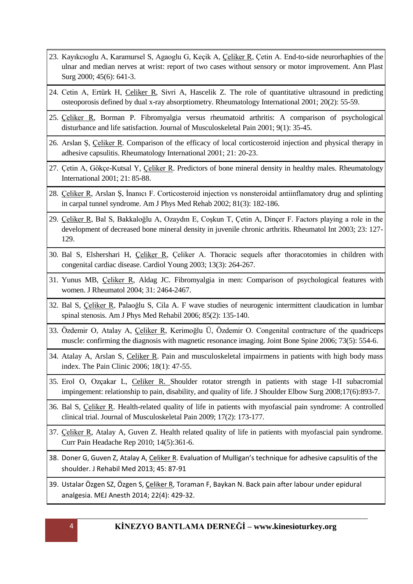- 23. Kayıkcıoglu A, Karamursel S, Agaoglu G, Keçik A, Çeliker R, Çetin A. End-to-side neurorhaphies of the ulnar and median nerves at wrist: report of two cases without sensory or motor improvement. Ann Plast Surg 2000; 45(6): 641-3.
- 24. Cetin A, Ertürk H, Celiker R, Sivri A, Hascelik Z. The role of quantitative ultrasound in predicting osteoporosis defined by dual x-ray absorptiometry. Rheumatology International 2001; 20(2): 55-59.
- 25. Çeliker R, Borman P. Fibromyalgia versus rheumatoid arthritis: A comparison of psychological disturbance and life satisfaction. Journal of Musculoskeletal Pain 2001; 9(1): 35-45.
- 26. Arslan Ş, Çeliker R. Comparison of the efficacy of local corticosteroid injection and physical therapy in adhesive capsulitis. Rheumatology International 2001; 21: 20-23.
- 27. Çetin A, Gökçe-Kutsal Y, Çeliker R. Predictors of bone mineral density in healthy males. Rheumatology International 2001; 21: 85-88.
- 28. Çeliker R, Arslan Ş, İnanıcı F. Corticosteroid injection vs nonsteroidal antiinflamatory drug and splinting in carpal tunnel syndrome. Am J Phys Med Rehab 2002; 81(3): 182-186.
- 29. Çeliker R, Bal S, Bakkaloğlu A, Ozaydın E, Coşkun T, Çetin A, Dinçer F. Factors playing a role in the development of decreased bone mineral density in juvenile chronic arthritis. Rheumatol Int 2003; 23: 127- 129.
- 30. Bal S, Elshershari H, Çeliker R, Çeliker A. Thoracic sequels after thoracotomies in children with congenital cardiac disease. Cardiol Young 2003; 13(3): 264-267.
- 31. Yunus MB, Çeliker R, Aldag JC. Fibromyalgia in men: Comparison of psychological features with women. J Rheumatol 2004; 31: 2464-2467.
- 32. Bal S, Çeliker R, Palaoğlu S, Cila A. F wave studies of neurogenic intermittent claudication in lumbar spinal stenosis. Am J Phys Med Rehabil 2006; 85(2): 135-140.
- 33. Özdemir O, Atalay A, Çeliker R, Kerimoğlu Ü, Özdemir O. Congenital contracture of the quadriceps muscle: confirming the diagnosis with magnetic resonance imaging. Joint Bone Spine 2006; 73(5): 554-6.
- 34. Atalay A, Arslan S, Celiker R. Pain and musculoskeletal impairmens in patients with high body mass index. The Pain Clinic 2006; 18(1): 47-55.
- 35. Erol O, Ozçakar L, Celiker R. Shoulder rotator strength in patients with stage I-II subacromial impingement: relationship to pain, disability, and quality of life. J Shoulder Elbow Surg 2008;17(6):893-7.
- 36. Bal S, Çeliker R. Health-related quality of life in patients with myofascial pain syndrome: A controlled clinical trial. Journal of Musculoskeletal Pain 2009; 17(2): 173-177.
- 37. Çeliker R, Atalay A, Guven Z. Health related quality of life in patients with myofascial pain syndrome. Curr Pain Headache Rep 2010; 14(5):361-6.
- 38. Doner G, Guven Z, Atalay A, Celiker R. Evaluation of Mulligan's technique for adhesive capsulitis of the shoulder. J Rehabil Med 2013; 45: 87-91
- 39. Ustalar Özgen SZ, Özgen S, Celiker R, Toraman F, Baykan N. Back pain after labour under epidural analgesia. MEJ Anesth 2014; 22(4): 429-32.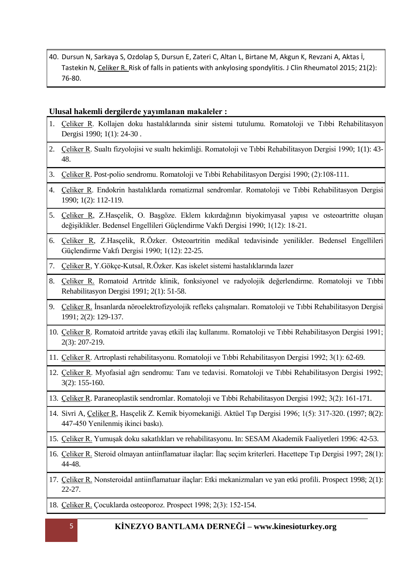40. Dursun N, Sarkaya S, Ozdolap S, Dursun E, Zateri C, Altan L, Birtane M, Akgun K, Revzani A, Aktas İ, Tastekin N, Celiker R. Risk of falls in patients with ankylosing spondylitis. J Clin Rheumatol 2015; 21(2): 76-80.

#### **Ulusal hakemli dergilerde yayımlanan makaleler :**

- 1. Çeliker R. Kollajen doku hastalıklarında sinir sistemi tutulumu. Romatoloji ve Tıbbi Rehabilitasyon Dergisi 1990; 1(1): 24-30 .
- 2. Çeliker R. Sualtı fizyolojisi ve sualtı hekimliği. Romatoloji ve Tıbbi Rehabilitasyon Dergisi 1990; 1(1): 43- 48.
- 3. Çeliker R. Post-polio sendromu. Romatoloji ve Tıbbi Rehabilitasyon Dergisi 1990; (2):108-111.
- 4. Çeliker R. Endokrin hastalıklarda romatizmal sendromlar. Romatoloji ve Tıbbi Rehabilitasyon Dergisi 1990; 1(2): 112-119.
- 5. Çeliker R, Z.Hasçelik, O. Başgöze. Eklem kıkırdağının biyokimyasal yapısı ve osteoartritte oluşan değişiklikler. Bedensel Engellileri Güçlendirme Vakfı Dergisi 1990; 1(12): 18-21.
- 6. Çeliker R, Z.Hasçelik, R.Özker. Osteoartritin medikal tedavisinde yenilikler. Bedensel Engellileri Güçlendirme Vakfı Dergisi 1990; 1(12): 22-25.
- 7. Çeliker R, Y.Gökçe-Kutsal, R.Özker. Kas iskelet sistemi hastalıklarında lazer
- 8. Çeliker R. Romatoid Artritde klinik, fonksiyonel ve radyolojik değerlendirme. Romatoloji ve Tıbbi Rehabilitasyon Dergisi 1991; 2(1): 51-58.
- 9. Çeliker R. İnsanlarda nöroelektrofizyolojik refleks çalışmaları. Romatoloji ve Tıbbi Rehabilitasyon Dergisi 1991; 2(2): 129-137.
- 10. Çeliker R. Romatoid artritde yavaş etkili ilaç kullanımı. Romatoloji ve Tıbbi Rehabilitasyon Dergisi 1991; 2(3): 207-219.
- 11. Çeliker R. Artroplasti rehabilitasyonu. Romatoloji ve Tıbbi Rehabilitasyon Dergisi 1992; 3(1): 62-69.
- 12. Çeliker R. Myofasial ağrı sendromu: Tanı ve tedavisi. Romatoloji ve Tıbbi Rehabilitasyon Dergisi 1992; 3(2): 155-160.
- 13. Çeliker R. Paraneoplastik sendromlar. Romatoloji ve Tıbbi Rehabilitasyon Dergisi 1992; 3(2): 161-171.
- 14. Sivri A, Çeliker R, Hasçelik Z. Kemik biyomekaniği. Aktüel Tıp Dergisi 1996; 1(5): 317-320. (1997; 8(2): 447-450 Yenilenmiş ikinci baskı).
- 15. Çeliker R. Yumuşak doku sakatlıkları ve rehabilitasyonu. In: SESAM Akademik Faaliyetleri 1996: 42-53.
- 16. Çeliker R. Steroid olmayan antiinflamatuar ilaçlar: İlaç seçim kriterleri. Hacettepe Tıp Dergisi 1997; 28(1): 44-48.
- 17. Çeliker R. Nonsteroidal antiinflamatuar ilaçlar: Etki mekanizmaları ve yan etki profili. Prospect 1998; 2(1): 22-27.
- 18. Çeliker R. Çocuklarda osteoporoz. Prospect 1998; 2(3): 152-154.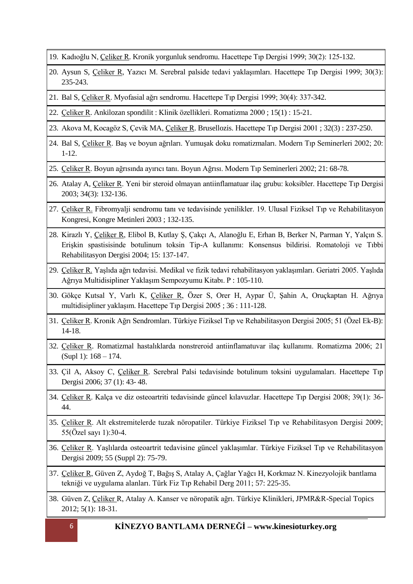- 19. Kadıoğlu N, Çeliker R. Kronik yorgunluk sendromu. Hacettepe Tıp Dergisi 1999; 30(2): 125-132.
- 20. Aysun S, Çeliker R, Yazıcı M. Serebral palside tedavi yaklaşımları. Hacettepe Tıp Dergisi 1999; 30(3): 235-243.
- 21. Bal S, Çeliker R. Myofasial ağrı sendromu. Hacettepe Tıp Dergisi 1999; 30(4): 337-342.
- 22. Çeliker R. Ankilozan spondilit : Klinik özellikleri. Romatizma 2000 ; 15(1) : 15-21.
- 23. Akova M, Kocagöz S, Çevik MA, Çeliker R. Brusellozis. Hacettepe Tıp Dergisi 2001 ; 32(3) : 237-250.
- 24. Bal S, Çeliker R. Baş ve boyun ağrıları. Yumuşak doku romatizmaları. Modern Tıp Seminerleri 2002; 20: 1-12.
- 25. Çeliker R. Boyun ağrısında ayırıcı tanı. Boyun Ağrısı. Modern Tıp Seminerleri 2002; 21: 68-78.
- 26. Atalay A, Çeliker R. Yeni bir steroid olmayan antiinflamatuar ilaç grubu: koksibler. Hacettepe Tıp Dergisi 2003; 34(3): 132-136.
- 27. Çeliker R. Fibromyalji sendromu tanı ve tedavisinde yenilikler. 19. Ulusal Fiziksel Tıp ve Rehabilitasyon Kongresi, Kongre Metinleri 2003 ; 132-135.
- 28. Kirazlı Y, Çeliker R, Elibol B, Kutlay Ş, Çakçı A, Alanoğlu E, Erhan B, Berker N, Parman Y, Yalçın S. Erişkin spastisisinde botulinum toksin Tip-A kullanımı: Konsensus bildirisi. Romatoloji ve Tıbbi Rehabilitasyon Dergisi 2004; 15: 137-147.
- 29. Çeliker R. Yaşlıda ağrı tedavisi. Medikal ve fizik tedavi rehabilitasyon yaklaşımları. Geriatri 2005. Yaşlıda Ağrıya Multidisipliner Yaklaşım Sempozyumu Kitabı. P : 105-110.
- 30. Gökçe Kutsal Y, Varlı K, Çeliker R, Özer S, Orer H, Aypar Ü, Şahin A, Oruçkaptan H. Ağrıya multidisipliner yaklaşım. Hacettepe Tıp Dergisi 2005 ; 36 : 111-128.
- 31. Çeliker R. Kronik Ağrı Sendromları. Türkiye Fiziksel Tıp ve Rehabilitasyon Dergisi 2005; 51 (Özel Ek-B): 14-18.
- 32. Çeliker R. Romatizmal hastalıklarda nonstreroid antiinflamatuvar ilaç kullanımı. Romatizma 2006; 21 (Supl 1): 168 – 174.
- 33. Çil A, Aksoy C, Çeliker R. Serebral Palsi tedavisinde botulinum toksini uygulamaları. Hacettepe Tıp Dergisi 2006; 37 (1): 43- 48.
- 34. Çeliker R. Kalça ve diz osteoartriti tedavisinde güncel kılavuzlar. Hacettepe Tıp Dergisi 2008; 39(1): 36- 44.
- 35. Çeliker R. Alt ekstremitelerde tuzak nöropatiler. Türkiye Fiziksel Tıp ve Rehabilitasyon Dergisi 2009; 55(Özel sayı 1):30-4.
- 36. Çeliker R. Yaşlılarda osteoartrit tedavisine güncel yaklaşımlar. Türkiye Fiziksel Tıp ve Rehabilitasyon Dergisi 2009; 55 (Suppl 2): 75-79.
- 37. Çeliker R, Güven Z, Aydoğ T, Bağış S, Atalay A, Çağlar Yağcı H, Korkmaz N. Kinezyolojik bantlama tekniği ve uygulama alanları. Türk Fiz Tıp Rehabil Derg 2011; 57: 225-35.
- 38. Güven Z, Çeliker R, Atalay A. Kanser ve nöropatik ağrı. Türkiye Klinikleri, JPMR&R-Special Topics 2012; 5(1): 18-31.